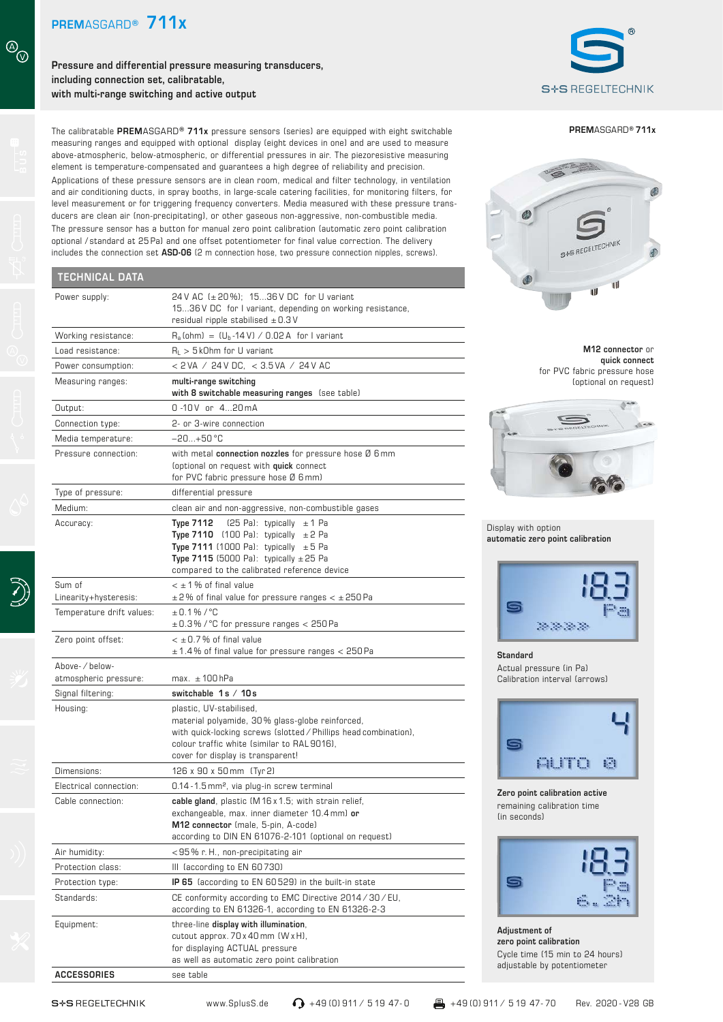$\circledcirc$ 

**Pressure and differential pressure measuring transducers, including connection set, calibratable, with multi-range switching and active output**



**PREM**ASGARD**® 711x**

# S+S REGELTECHNIK ®  $\mathbf{d}$ ū

**M12 connector** or **quick connect**  for PVC fabric pressure hose (optional on request)



Display with option **automatic zero point calibration**



**Standard** Actual pressure (in Pa) Calibration interval (arrows)



**Zero point calibration active** remaining calibration time (in seconds)



**Adjustment of zero point calibration** Cycle time (15 min to 24 hours) adjustable by potentiometer

The calibratable **PREM**ASGARD**® 711x** pressure sensors (series) are equipped with eight switchable measuring ranges and equipped with optional display (eight devices in one) and are used to measure above-atmospheric, below-atmospheric, or differential pressures in air. The piezoresistive measuring element is temperature-compensated and guarantees a high degree of reliability and precision. Applications of these pressure sensors are in clean room, medical and filter technology, in ventilation and air conditioning ducts, in spray booths, in large-scale catering facilities, for monitoring filters, for level measurement or for triggering frequency converters. Media measured with these pressure transducers are clean air (non-precipitating), or other gaseous non-aggressive, non-combustible media. The pressure sensor has a button for manual zero point calibration (automatic zero point calibration optional / standard at 25 Pa) and one offset potentiometer for final value correction. The delivery includes the connection set **ASD-06** (2 m connection hose, two pressure connection nipples, screws).

### **TECHNICAL DATA**

| I CUMIVIUAL DATA                       |                                                                                                                                                                                                                                                         |
|----------------------------------------|---------------------------------------------------------------------------------------------------------------------------------------------------------------------------------------------------------------------------------------------------------|
| Power supply:                          | 24 V AC (± 20 %); 1536 V DC for U variant<br>1536 V DC for I variant, depending on working resistance,<br>residual ripple stabilised $\pm$ 0.3 V                                                                                                        |
| Working resistance:                    | $R_a$ (ohm) = $(U_b - 14 V) / 0.02 A$ for I variant                                                                                                                                                                                                     |
| Load resistance:                       | $R_1 > 5$ kOhm for U variant                                                                                                                                                                                                                            |
| Power consumption:                     | < 2 VA / 24 V DC, < 3.5 VA / 24 V AC                                                                                                                                                                                                                    |
| Measuring ranges:                      | multi-range switching<br>with 8 switchable measuring ranges (see table)                                                                                                                                                                                 |
| Output:                                | 0-10V or 420mA                                                                                                                                                                                                                                          |
| Connection type:                       | 2- or 3-wire connection                                                                                                                                                                                                                                 |
| Media temperature:                     | $-20+50$ °C                                                                                                                                                                                                                                             |
| Pressure connection:                   | with metal connection nozzles for pressure hose $\emptyset$ 6 mm<br>(optional on request with quick connect<br>for PVC fabric pressure hose Ø 6 mm)                                                                                                     |
| Type of pressure:                      | differential pressure                                                                                                                                                                                                                                   |
| Medium:                                | clean air and non-aggressive, non-combustible gases                                                                                                                                                                                                     |
| Accuracy:                              | $(25$ Pa): typically $\pm$ 1 Pa<br><b>Type 7112</b><br><b>Type 7110</b> (100 Pa): typically $\pm 2$ Pa<br><b>Type 7111</b> (1000 Pa): typically $\pm$ 5 Pa<br>Type 7115 (5000 Pa): typically $\pm$ 25 Pa<br>compared to the calibrated reference device |
| Sum of                                 | $<$ $\pm$ 1 % of final value                                                                                                                                                                                                                            |
| Linearity+hysteresis:                  | $\pm$ 2% of final value for pressure ranges < $\pm$ 250 Pa                                                                                                                                                                                              |
| Temperature drift values:              | $\pm$ 0.1% / °C<br>$\pm$ 0.3% / °C for pressure ranges < 250 Pa                                                                                                                                                                                         |
| Zero point offset:                     | $<$ $\pm$ 0.7% of final value<br>$\pm$ 1.4% of final value for pressure ranges < 250 Pa                                                                                                                                                                 |
| Above-/below-<br>atmospheric pressure: | $max. \pm 100$ hPa                                                                                                                                                                                                                                      |
| Signal filtering:                      | switchable 1s / 10s                                                                                                                                                                                                                                     |
| Housing:                               | plastic, UV-stabilised,<br>material polyamide, 30% glass-globe reinforced,<br>with quick-locking screws (slotted / Phillips head combination),<br>colour traffic white (similar to RAL 9016),<br>cover for display is transparent!                      |
| Dimensions:                            | 126 x 90 x 50 mm (Tyr 2)                                                                                                                                                                                                                                |
| Electrical connection:                 | 0.14 - 1.5 mm <sup>2</sup> , via plug-in screw terminal                                                                                                                                                                                                 |
| Cable connection:                      | cable gland, plastic (M16 x 1.5; with strain relief,<br>exchangeable, max. inner diameter 10.4 mm) or<br>M12 connector (male, 5-pin, A-code)<br>according to DIN EN 61076-2-101 (optional on request)                                                   |
| Air humidity:                          | <95% r.H., non-precipitating air                                                                                                                                                                                                                        |
| Protection class:                      | III (according to EN 60730)                                                                                                                                                                                                                             |
| Protection type:                       | <b>IP 65</b> (according to EN 60529) in the built-in state                                                                                                                                                                                              |
| Standards:                             | CE conformity according to EMC Directive 2014 / 30 / EU.<br>according to EN 61326-1, according to EN 61326-2-3                                                                                                                                          |
| Equipment:                             | three-line display with illumination,<br>cutout approx. 70 x 40 mm (W x H),<br>for displaying ACTUAL pressure<br>as well as automatic zero point calibration                                                                                            |

**ACCESSORIES** see table

www.SplusS.de → 149 (0) 911 / 5 19 47- 0 +49 (0) 911 / 5 19 47- 70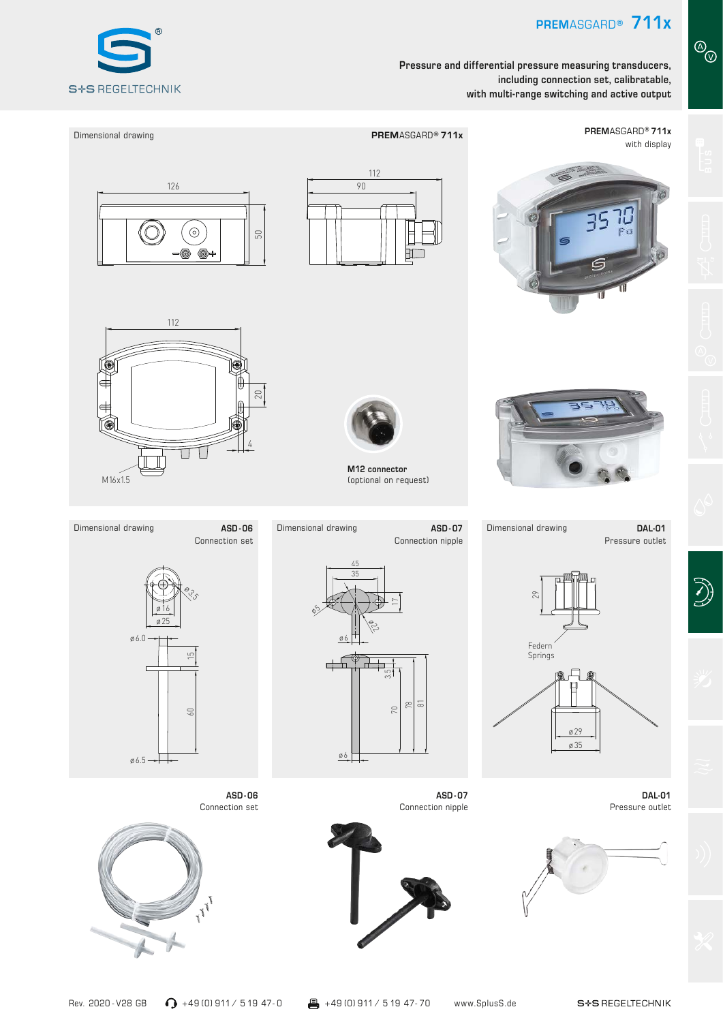**PREM**ASGARD**® 711x**

**Pressure and differential pressure measuring transducers, including connection set, calibratable, with multi-range switching and active output**



Dimensional drawing **PREM**ASGARD**® 711x** with display 112 126 90  $\mathbb C$  $\odot$ 50 112 20 4  $\overline{\mathbb{U}}$ T **M12 connector** M16x1.5 (optional on request)Dimensional drawing **ASD-06** Dimensional drawing **ASD-07** Dimensional drawing **ASD - 06 ASD - 07 DAL-01** Connection nipple Pressure outlet Connection set 45 35  $\overset{\Theta_{\mathcal{G}}}{\leadsto}$ 29 17 ø16 ø5 ø25 ø22 ø6.0 ø6 Federn  $\sqrt{ }$ Springs  $\overline{\phantom{a}}$ ┱ 3.5 78  $\overline{\infty}$ 70 60 ø29 ø35 ø6 ø6.5 ├┼ **ASD - 06 ASD - 07 DAL-01** Connection set Connection nipple Pressure outlet I<sub>FF</sub>

S<sup>+</sup>S REGELTECHNIK

D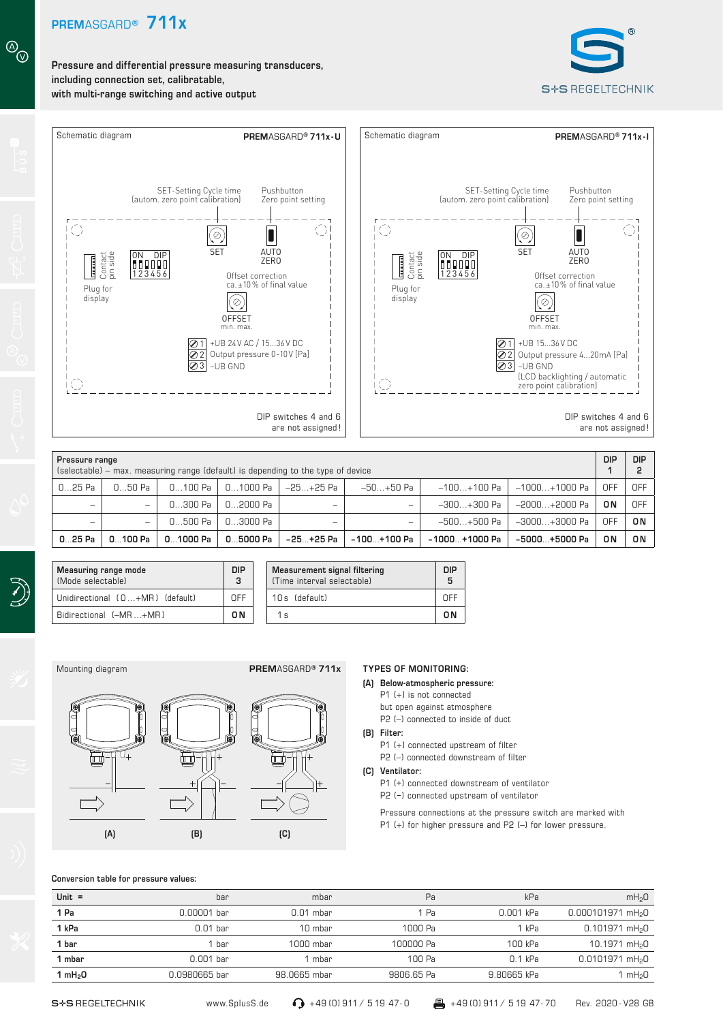

**Pressure and differential pressure measuring transducers, including connection set, calibratable, with multi-range switching and active output**

 $\circledcirc$ 





|          | Pressure range<br>(selectable) – max. measuring range (default) is depending to the type of device |           |          |               |               | <b>DIP</b>     | <b>DIP</b>    |            |     |
|----------|----------------------------------------------------------------------------------------------------|-----------|----------|---------------|---------------|----------------|---------------|------------|-----|
| $025$ Pa | 050 Pa                                                                                             | 0100 Pa   | 01000 Pa | $-25+25$ Pa   | $-50+50$ Pa   | $-100+100$ Pa  | -1000+1000 Pa | <b>OFF</b> | OFF |
| -        | -                                                                                                  | $0300$ Pa | 02000 Pa | -             | -             | $-300+300$ Pa  | -2000+2000 Pa | 0 N        | OFF |
| -        | -                                                                                                  | $0500$ Pa | 03000 Pa | -             | -             | $-500+500$ Pa  | -3000+3000 Pa | OFF        | 0N  |
| 0.25Pa   | 0100 Pa                                                                                            | 01000 Pa  | 05000 Pa | $-25 + 25$ Pa | $-100+100$ Pa | $-1000+1000Pa$ | -5000+5000 Pa | 0N         | ON  |

**Measurement signal filtering** (Time interval selectable)



**Measuring range mode**  (Mode selectable)

**DIP 3**

Unidirectional ( 0 ...+MR ) (default) OFF 10 s (default) OFF Bidirectional (–MR...+MR) **ON ON** 1s **CON ON** 

### **TYPES OF MONITORING:**

- **(A) Below-atmospheric pressure:**
	- P1 (+) is not connected
	- but open against atmosphere
	- P2 (-) connected to inside of duct

**DIP 5**

- **(B) Filter:** 
	- P1 (+) connected upstream of filter
	- P2 (–) connected downstream of filter
- **(C) Ventilator:**
	- P1 (+) connected downstream of ventilator P2 (–) connected upstream of ventilator
	- Pressure connections at the pressure switch are marked with P1 (+) for higher pressure and P2 (–) for lower pressure.

### **Conversion table for pressure values:**

**(A) (B) (C)**

| Unit $=$<br>Pa<br>mbar<br>bar                                                     | mH <sub>2</sub> 0<br>kPa      |
|-----------------------------------------------------------------------------------|-------------------------------|
| 1 Pa<br>0.001 kPa<br>1 Pa<br>0.00001 bar<br>$0.01$ mbar                           | 0.000101971 mH <sub>2</sub> 0 |
| 1 kPa<br>1000 Pa<br>1 kPa<br>$0.01$ bar<br>10 mbar                                | $0.101971$ mH <sub>2</sub> 0  |
| 1 bar<br>100000 Pa<br>100 kPa<br>1000 mbar<br>bar                                 | 10.1971 mH <sub>2</sub> 0     |
| $0.001$ bar<br>100 Pa<br>$0.1$ kPa<br>1 mbar<br>1 mbar                            | $0.0101971$ mH <sub>2</sub> O |
| 9.80665 kPa<br>9806.65 Pa<br>1 mH <sub>2</sub> 0<br>0.0980665 bar<br>98.0665 mbar | mH <sub>2</sub> 0             |

www.SplusS.de  $\bigcirc$  +49 (0) 911 / 5 19 47- 0  $\bigcirc$  +49 (0) 911 / 5 19 47- 70

Rev. 2020 - V28 GB